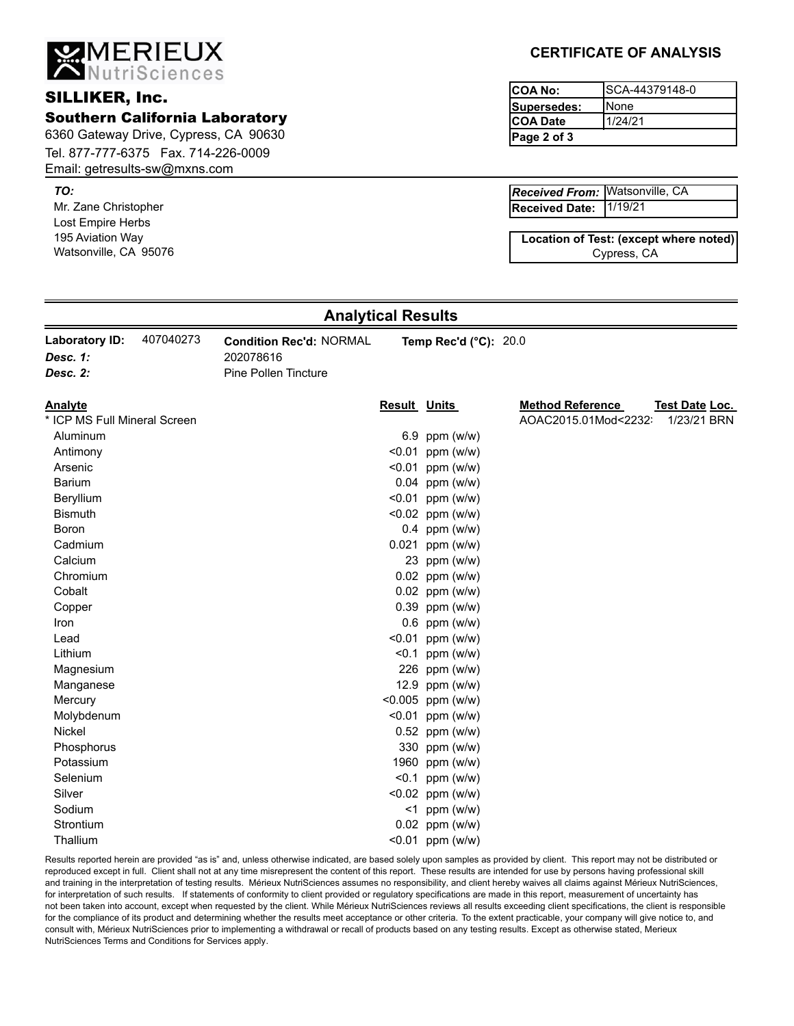**MERIEUX**<br>ANutriSciences

#### **SILLIKER, Inc.**

Southern California Laboratory

6360 Gateway Drive, Cypress, CA 90630 Tel. 877-777-6375 Fax. 714-226-0009 Email: getresults-sw@mxns.com

*TO:*

Mr. Zane Christopher Lost Empire Herbs 195 Aviation Way Watsonville, CA 95076

### **CERTIFICATE OF ANALYSIS**

| ICOA No:     | ISCA-44379148-0 |
|--------------|-----------------|
| lSupersedes: | iNone           |
| ICOA Date    | 1/24/21         |
| Page 2 of 3  |                 |

1/19/21 Watsonville, CA *Received From:* **Received Date:**

Cypress, CA **Location of Test: (except where noted)**

### **Analytical Results**

| Laboratory ID: | 407040273 | <b>Condition Rec'd: NORMAL</b> | Temp Rec'd $(^{\circ}C)$ : 20.0 |
|----------------|-----------|--------------------------------|---------------------------------|
| Desc. 1:       |           | 202078616                      |                                 |
| Desc. 2:       |           | <b>Pine Pollen Tincture</b>    |                                 |
|                |           |                                |                                 |

| <b>Analyte</b>               | <b>Result Units</b> |                    | <b>Method Reference</b> | Test Date Loc. |
|------------------------------|---------------------|--------------------|-------------------------|----------------|
| * ICP MS Full Mineral Screen |                     |                    | AOAC2015.01Mod<2232:    | 1/23/21 BRN    |
| Aluminum                     |                     | 6.9 ppm $(w/w)$    |                         |                |
| Antimony                     | < 0.01              | ppm (w/w)          |                         |                |
| Arsenic                      |                     | $< 0.01$ ppm (w/w) |                         |                |
| Barium                       |                     | $0.04$ ppm (w/w)   |                         |                |
| Beryllium                    |                     | $< 0.01$ ppm (w/w) |                         |                |
| <b>Bismuth</b>               |                     | < $0.02$ ppm (w/w) |                         |                |
| Boron                        |                     | $0.4$ ppm (w/w)    |                         |                |
| Cadmium                      |                     | 0.021 ppm (w/w)    |                         |                |
| Calcium                      |                     | 23 ppm (w/w)       |                         |                |
| Chromium                     |                     | $0.02$ ppm (w/w)   |                         |                |
| Cobalt                       |                     | 0.02 ppm (w/w)     |                         |                |
| Copper                       |                     | $0.39$ ppm (w/w)   |                         |                |
| Iron                         |                     | $0.6$ ppm (w/w)    |                         |                |
| Lead                         | < 0.01              | ppm (w/w)          |                         |                |
| Lithium                      | < 0.1               | ppm (w/w)          |                         |                |
| Magnesium                    |                     | 226 ppm (w/w)      |                         |                |
| Manganese                    |                     | 12.9 ppm (w/w)     |                         |                |
| Mercury                      |                     | <0.005 ppm (w/w)   |                         |                |
| Molybdenum                   |                     | $< 0.01$ ppm (w/w) |                         |                |
| Nickel                       |                     | 0.52 ppm (w/w)     |                         |                |
| Phosphorus                   |                     | 330 ppm (w/w)      |                         |                |
| Potassium                    |                     | 1960 ppm (w/w)     |                         |                |
| Selenium                     | < 0.1               | ppm (w/w)          |                         |                |
| Silver                       |                     | < $0.02$ ppm (w/w) |                         |                |
| Sodium                       | $<$ 1               | ppm (w/w)          |                         |                |
| Strontium                    |                     | 0.02 ppm (w/w)     |                         |                |
| Thallium                     |                     | $< 0.01$ ppm (w/w) |                         |                |
|                              |                     |                    |                         |                |

Results reported herein are provided "as is" and, unless otherwise indicated, are based solely upon samples as provided by client. This report may not be distributed or reproduced except in full. Client shall not at any time misrepresent the content of this report. These results are intended for use by persons having professional skill and training in the interpretation of testing results. Mérieux NutriSciences assumes no responsibility, and client hereby waives all claims against Mérieux NutriSciences, for interpretation of such results. If statements of conformity to client provided or regulatory specifications are made in this report, measurement of uncertainty has not been taken into account, except when requested by the client. While Mérieux NutriSciences reviews all results exceeding client specifications, the client is responsible for the compliance of its product and determining whether the results meet acceptance or other criteria. To the extent practicable, your company will give notice to, and consult with, Mérieux NutriSciences prior to implementing a withdrawal or recall of products based on any testing results. Except as otherwise stated, Merieux NutriSciences Terms and Conditions for Services apply.